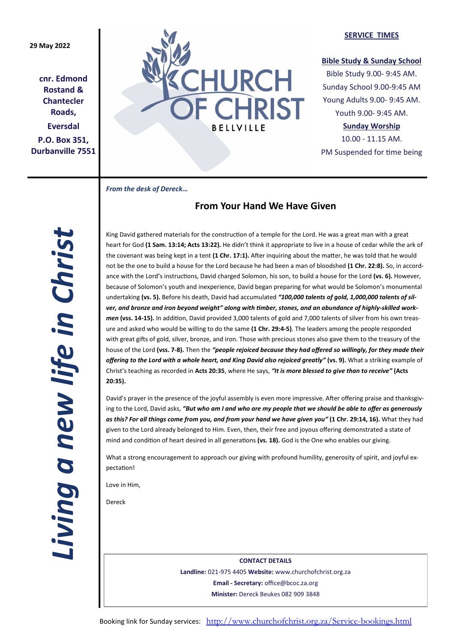## **29 May 2022**

**cnr. Edmond Rostand & Chantecler Roads, Eversdal P.O. Box 351, Durbanville 7551**



### **SERVICE TIMES**

## **Bible Study & Sunday School**

Bible Study 9.00- 9:45 AM. Sunday School 9.00-9:45 AM Young Adults 9.00- 9:45 AM. Youth 9.00- 9:45 AM.

## **Sunday Worship**

10.00 - 11.15 AM. PM Suspended for time being

*From the desk of Dereck…* 

## **From Your Hand We Have Given**

*Living a new life in Christ*  Living a new life in Christ

King David gathered materials for the construction of a temple for the Lord. He was a great man with a great heart for God **(1 Sam. 13:14; Acts 13:22).** He didn't think it appropriate to live in a house of cedar while the ark of the covenant was being kept in a tent **(1 Chr. 17:1).** After inquiring about the matter, he was told that he would not be the one to build a house for the Lord because he had been a man of bloodshed **(1 Chr. 22:8).** So, in accordance with the Lord's instructions, David charged Solomon, his son, to build a house for the Lord **(vs. 6).** However, because of Solomon's youth and inexperience, David began preparing for what would be Solomon's monumental undertaking **(vs. 5).** Before his death, David had accumulated *"100,000 talents of gold, 1,000,000 talents of silver, and bronze and iron beyond weight" along with timber, stones, and an abundance of highly-skilled workmen* **(vss. 14-15).** In addition, David provided 3,000 talents of gold and 7,000 talents of silver from his own treasure and asked who would be willing to do the same **(1 Chr. 29:4-5)**. The leaders among the people responded with great gifts of gold, silver, bronze, and iron. Those with precious stones also gave them to the treasury of the house of the Lord **(vss. 7-8).** Then the *"people rejoiced because they had offered so willingly, for they made their offering to the Lord with a whole heart, and King David also rejoiced greatly"* **(vs. 9).** What a striking example of Christ's teaching as recorded in **Acts 20:35**, where He says, *"It is more blessed to give than to receive"* **(Acts 20:35).**

David's prayer in the presence of the joyful assembly is even more impressive. After offering praise and thanksgiving to the Lord, David asks, *"But who am I and who are my people that we should be able to offer as generously as this? For all things come from you, and from your hand we have given you"* **(1 Chr. 29:14, 16).** What they had given to the Lord already belonged to Him. Even, then, their free and joyous offering demonstrated a state of mind and condition of heart desired in all generations **(vs. 18).** God is the One who enables our giving.

What a strong encouragement to approach our giving with profound humility, generosity of spirit, and joyful expectation!

Love in Him,

Dereck

**CONTACT DETAILS Landline:** 021-975 4405 **Website:** www.churchofchrist.org.za **Email - Secretary:** office@bcoc.za.org **Minister:** Dereck Beukes 082 909 3848